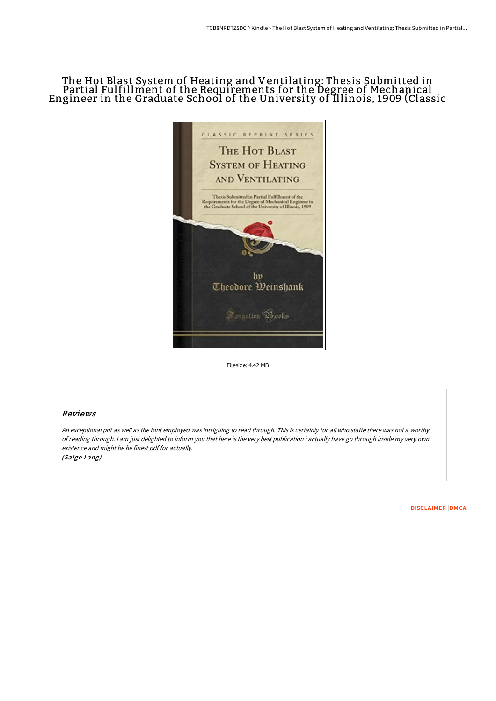# The Hot Blast System of Heating and Ventilating: Thesis Submitted in Partial Fulfillment of the Requirements for the Degree of Mechanical Engineer in the Graduate School of the University of Illinois, 1909 (Classic



Filesize: 4.42 MB

## Reviews

An exceptional pdf as well as the font employed was intriguing to read through. This is certainly for all who statte there was not <sup>a</sup> worthy of reading through. <sup>I</sup> am just delighted to inform you that here is the very best publication i actually have go through inside my very own existence and might be he finest pdf for actually. (Saige Lang)

[DISCLAIMER](http://techno-pub.tech/disclaimer.html) | [DMCA](http://techno-pub.tech/dmca.html)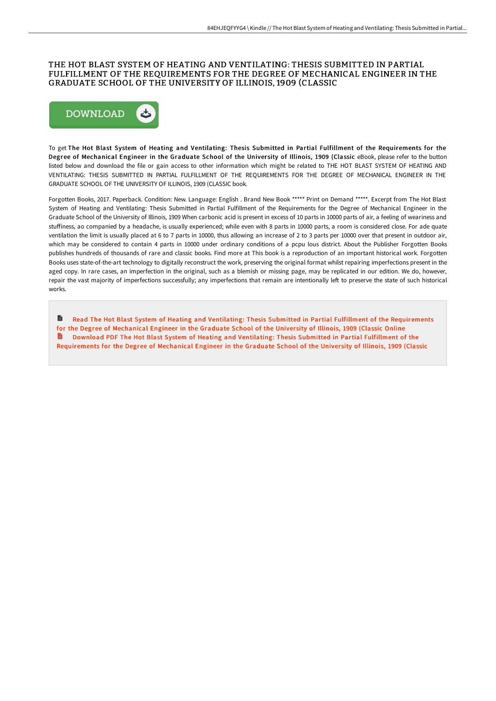#### THE HOT BLAST SYSTEM OF HEATING AND VENTILATING: THESIS SUBMITTED IN PARTIAL FULFILLMENT OF THE REQUIREMENTS FOR THE DEGREE OF MECHANICAL ENGINEER IN THE GRADUATE SCHOOL OF THE UNIVERSITY OF ILLINOIS, 1909 (CLASSIC



To get The Hot Blast System of Heating and Ventilating: Thesis Submitted in Partial Fulfillment of the Requirements for the Degree of Mechanical Engineer in the Graduate School of the University of Illinois, 1909 (Classic eBook, please refer to the button listed below and download the file or gain access to other information which might be related to THE HOT BLAST SYSTEM OF HEATING AND VENTILATING: THESIS SUBMITTED IN PARTIAL FULFILLMENT OF THE REQUIREMENTS FOR THE DEGREE OF MECHANICAL ENGINEER IN THE GRADUATE SCHOOL OF THE UNIVERSITY OF ILLINOIS, 1909 (CLASSIC book.

Forgotten Books, 2017. Paperback. Condition: New. Language: English . Brand New Book \*\*\*\*\* Print on Demand \*\*\*\*\*. Excerpt from The Hot Blast System of Heating and Ventilating: Thesis Submitted in Partial Fulfillment of the Requirements for the Degree of Mechanical Engineer in the Graduate School of the University of Illinois, 1909 When carbonic acid is present in excess of 10 parts in 10000 parts of air, a feeling of weariness and stuffiness, ao companied by a headache, is usually experienced; while even with 8 parts in 10000 parts, a room is considered close. For ade quate ventilation the limit is usually placed at 6 to 7 parts in 10000, thus allowing an increase of 2 to 3 parts per 10000 over that present in outdoor air, which may be considered to contain 4 parts in 10000 under ordinary conditions of a pcpu lous district. About the Publisher Forgotten Books publishes hundreds of thousands of rare and classic books. Find more at This book is a reproduction of an important historical work. Forgotten Books uses state-of-the-art technology to digitally reconstruct the work, preserving the original format whilst repairing imperfections present in the aged copy. In rare cases, an imperfection in the original, such as a blemish or missing page, may be replicated in our edition. We do, however, repair the vast majority of imperfections successfully; any imperfections that remain are intentionally left to preserve the state of such historical works.

 $\blacksquare$ Read The Hot Blast System of Heating and Ventilating: Thesis Submitted in Partial Fulfillment of the [Requirements](http://techno-pub.tech/the-hot-blast-system-of-heating-and-ventilating-.html) for the Degree of Mechanical Engineer in the Graduate School of the University of Illinois, 1909 (Classic Online Download PDF The Hot Blast System of Heating and Ventilating: Thesis Submitted in Partial Fulfillment of the [Requirements](http://techno-pub.tech/the-hot-blast-system-of-heating-and-ventilating-.html) for the Degree of Mechanical Engineer in the Graduate School of the University of Illinois, 1909 (Classic